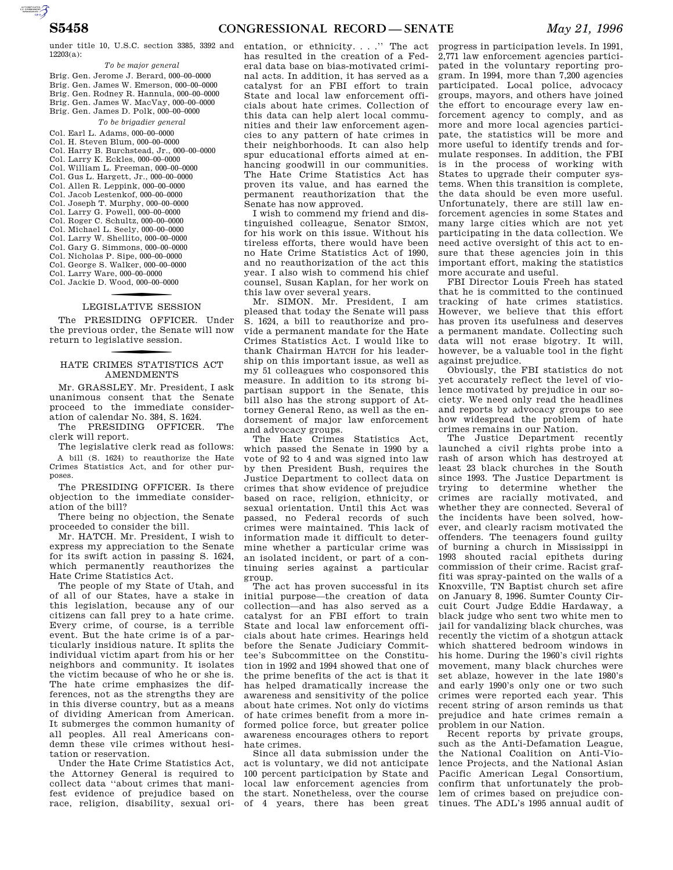under title 10, U.S.C. section 3385, 3392 and 12203(a):

### *To be major general*

Brig. Gen. Jerome J. Berard, 000–00–0000 Brig. Gen. James W. Emerson, 000–00–0000 Brig. Gen. Rodney R. Hannula, 000–00–0000 Brig. Gen. James W. MacVay, 000–00–0000 Brig. Gen. James D. Polk, 000–00–0000 *To be brigadier general* 

Col. Earl L. Adams, 000–00–0000 Col. H. Steven Blum, 000–00–0000 Col. Harry B. Burchstead, Jr., 000–00–0000 Col. Larry K. Eckles, 000–00–0000 Col. William L. Freeman, 000–00–0000 Col. Gus L. Hargett, Jr., 000–00–0000 Col. Allen R. Leppink, 000–00–0000 Col. Jacob Lestenkof, 000–00–0000 Col. Joseph T. Murphy, 000–00–0000 Col. Larry G. Powell, 000–00–0000 Col. Roger C. Schultz, 000–00–0000 Col. Michael L. Seely, 000–00–0000 Col. Larry W. Shellito, 000–00–0000 Col. Gary G. Simmons, 000–00–0000 Col. Nicholas P. Sipe, 000–00–0000 Col. George S. Walker, 000–00–0000 Col. Larry Ware, 000–00–0000 Col. Jackie D. Wood, 000 –00–0000

# LEGISLATIVE SESSION

The PRESIDING OFFICER. Under the previous order, the Senate will now return to legislative session.

## f HATE CRIMES STATISTICS ACT AMENDMENTS

Mr. GRASSLEY. Mr. President, I ask unanimous consent that the Senate proceed to the immediate consideration of calendar No. 384, S. 1624.

The PRESIDING OFFICER. The clerk will report.

The legislative clerk read as follows: A bill (S. 1624) to reauthorize the Hate Crimes Statistics Act, and for other purposes.

The PRESIDING OFFICER. Is there objection to the immediate consideration of the bill?

There being no objection, the Senate proceeded to consider the bill.

Mr. HATCH. Mr. President, I wish to express my appreciation to the Senate for its swift action in passing S. 1624, which permanently reauthorizes the Hate Crime Statistics Act.

The people of my State of Utah, and of all of our States, have a stake in this legislation, because any of our citizens can fall prey to a hate crime. Every crime, of course, is a terrible event. But the hate crime is of a particularly insidious nature. It splits the individual victim apart from his or her neighbors and community. It isolates the victim because of who he or she is. The hate crime emphasizes the differences, not as the strengths they are in this diverse country, but as a means of dividing American from American. It submerges the common humanity of all peoples. All real Americans condemn these vile crimes without hesitation or reservation.

Under the Hate Crime Statistics Act, the Attorney General is required to collect data ''about crimes that manifest evidence of prejudice based on race, religion, disability, sexual orientation, or ethnicity....'' The act has resulted in the creation of a Federal data base on bias-motivated criminal acts. In addition, it has served as a catalyst for an FBI effort to train State and local law enforcement officials about hate crimes. Collection of this data can help alert local communities and their law enforcement agencies to any pattern of hate crimes in their neighborhoods. It can also help spur educational efforts aimed at enhancing goodwill in our communities. The Hate Crime Statistics Act has proven its value, and has earned the permanent reauthorization that the Senate has now approved.

I wish to commend my friend and distinguished colleague, Senator SIMON, for his work on this issue. Without his tireless efforts, there would have been no Hate Crime Statistics Act of 1990, and no reauthorization of the act this year. I also wish to commend his chief counsel, Susan Kaplan, for her work on this law over several years.

Mr. SIMON. Mr. President, I am pleased that today the Senate will pass S. 1624, a bill to reauthorize and provide a permanent mandate for the Hate Crimes Statistics Act. I would like to thank Chairman HATCH for his leadership on this important issue, as well as my 51 colleagues who cosponsored this measure. In addition to its strong bipartisan support in the Senate, this bill also has the strong support of Attorney General Reno, as well as the endorsement of major law enforcement and advocacy groups.

The Hate Crimes Statistics Act, which passed the Senate in 1990 by a vote of 92 to 4 and was signed into law by then President Bush, requires the Justice Department to collect data on crimes that show evidence of prejudice based on race, religion, ethnicity, or sexual orientation. Until this Act was passed, no Federal records of such crimes were maintained. This lack of information made it difficult to determine whether a particular crime was an isolated incident, or part of a continuing series against a particular group.

The act has proven successful in its initial purpose—the creation of data collection—and has also served as a catalyst for an FBI effort to train State and local law enforcement officials about hate crimes. Hearings held before the Senate Judiciary Committee's Subcommittee on the Constitution in 1992 and 1994 showed that one of the prime benefits of the act is that it has helped dramatically increase the awareness and sensitivity of the police about hate crimes. Not only do victims of hate crimes benefit from a more informed police force, but greater police awareness encourages others to report hate crimes.

Since all data submission under the act is voluntary, we did not anticipate 100 percent participation by State and local law enforcement agencies from the start. Nonetheless, over the course of 4 years, there has been great

progress in participation levels. In 1991, 2,771 law enforcement agencies participated in the voluntary reporting program. In 1994, more than 7,200 agencies participated. Local police, advocacy groups, mayors, and others have joined the effort to encourage every law enforcement agency to comply, and as more and more local agencies participate, the statistics will be more and more useful to identify trends and formulate responses. In addition, the FBI is in the process of working with States to upgrade their computer systems. When this transition is complete, the data should be even more useful. Unfortunately, there are still law enforcement agencies in some States and many large cities which are not yet participating in the data collection. We need active oversight of this act to ensure that these agencies join in this important effort, making the statistics more accurate and useful.

FBI Director Louis Freeh has stated that he is committed to the continued tracking of hate crimes statistics. However, we believe that this effort has proven its usefulness and deserves a permanent mandate. Collecting such data will not erase bigotry. It will, however, be a valuable tool in the fight against prejudice.

Obviously, the FBI statistics do not yet accurately reflect the level of violence motivated by prejudice in our society. We need only read the headlines and reports by advocacy groups to see how widespread the problem of hate crimes remains in our Nation.

The Justice Department recently launched a civil rights probe into a rash of arson which has destroyed at least 23 black churches in the South since 1993. The Justice Department is trying to determine whether the crimes are racially motivated, and whether they are connected. Several of the incidents have been solved, however, and clearly racism motivated the offenders. The teenagers found guilty of burning a church in Mississippi in 1993 shouted racial epithets during commission of their crime. Racist graffiti was spray-painted on the walls of a Knoxville, TN Baptist church set afire on January 8, 1996. Sumter County Circuit Court Judge Eddie Hardaway, a black judge who sent two white men to jail for vandalizing black churches, was recently the victim of a shotgun attack which shattered bedroom windows in his home. During the 1960's civil rights movement, many black churches were set ablaze, however in the late 1980's and early 1990's only one or two such crimes were reported each year. This recent string of arson reminds us that prejudice and hate crimes remain a problem in our Nation.

Recent reports by private groups, such as the Anti-Defamation League, the National Coalition on Anti-Violence Projects, and the National Asian Pacific American Legal Consortium, confirm that unfortunately the problem of crimes based on prejudice continues. The ADL's 1995 annual audit of

AUTOROTOMICALE